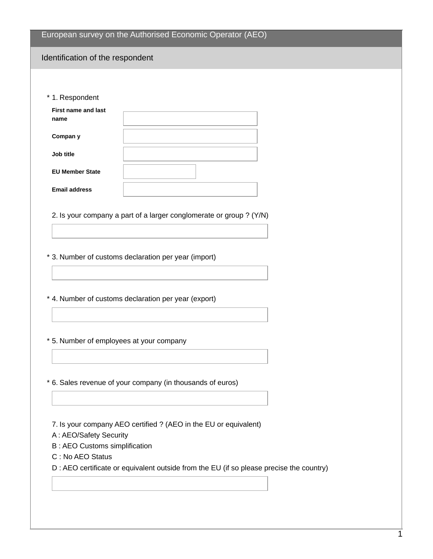|  |  | European survey on the Authorised Economic Operator (AEO) |  |
|--|--|-----------------------------------------------------------|--|
|--|--|-----------------------------------------------------------|--|

## Identification of the respondent

\* 1. Respondent

| <b>First name and last</b><br>name |  |
|------------------------------------|--|
| Compan y                           |  |
| Job title                          |  |
| <b>EU Member State</b>             |  |
| <b>Email address</b>               |  |

2. Is your company a part of a larger conglomerate or group ? (Y/N)

\* 3. Number of customs declaration per year (import)

\* 4. Number of customs declaration per year (export)

\* 5. Number of employees at your company

\* 6. Sales revenue of your company (in thousands of euros)

7. Is your company AEO certified ? (AEO in the EU or equivalent)

A : AEO/Safety Security

B : AEO Customs simplification

C : No AEO Status

D : AEO certificate or equivalent outside from the EU (if so please precise the country)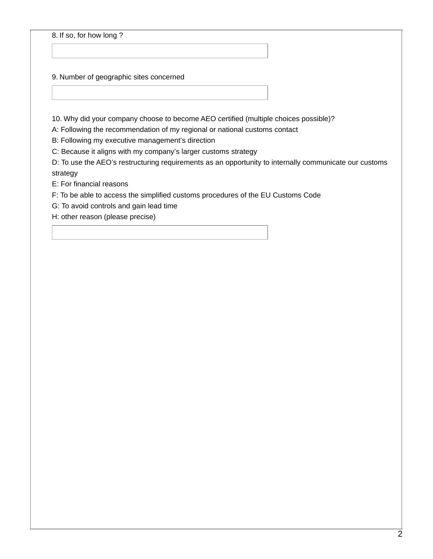8. If so, for how long ?

9. Number of geographic sites concerned

10. Why did your company choose to become AEO certified (multiple choices possible)?

A: Following the recommendation of my regional or national customs contact

B: Following my executive management's direction

C: Because it aligns with my company's larger customs strategy

D: To use the AEO's restructuring requirements as an opportunity to internally communicate our customs strategy

E: For financial reasons

F: To be able to access the simplified customs procedures of the EU Customs Code

G: To avoid controls and gain lead time

H: other reason (please precise)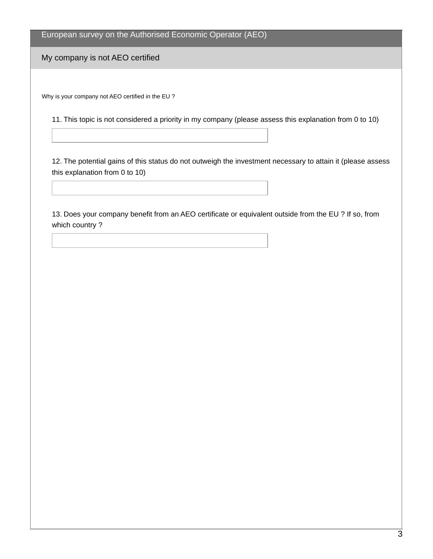European survey on the Authorised Economic Operator (AEO)

My company is not AEO certified

Why is your company not AEO certified in the EU ?

11. This topic is not considered a priority in my company (please assess this explanation from 0 to 10)

12. The potential gains of this status do not outweigh the investment necessary to attain it (please assess this explanation from 0 to 10)

13. Does your company benefit from an AEO certificate or equivalent outside from the EU ? If so, from which country ?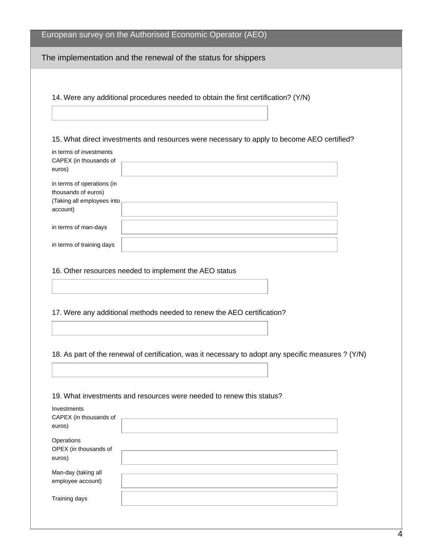|                                                   | European survey on the Authorised Economic Operator (AEO)                                            |
|---------------------------------------------------|------------------------------------------------------------------------------------------------------|
|                                                   | The implementation and the renewal of the status for shippers                                        |
|                                                   |                                                                                                      |
|                                                   | 14. Were any additional procedures needed to obtain the first certification? (Y/N)                   |
|                                                   |                                                                                                      |
|                                                   |                                                                                                      |
|                                                   | 15. What direct investments and resources were necessary to apply to become AEO certified?           |
| in terms of investments<br>CAPEX (in thousands of |                                                                                                      |
| euros)                                            |                                                                                                      |
| in terms of operations (in                        |                                                                                                      |
| thousands of euros)<br>(Taking all employees into |                                                                                                      |
| account)                                          |                                                                                                      |
| in terms of man-days                              |                                                                                                      |
|                                                   |                                                                                                      |
| in terms of training days                         |                                                                                                      |
|                                                   | 16. Other resources needed to implement the AEO status                                               |
|                                                   | 17. Were any additional methods needed to renew the AEO certification?                               |
|                                                   |                                                                                                      |
|                                                   |                                                                                                      |
|                                                   | 18. As part of the renewal of certification, was it necessary to adopt any specific measures ? (Y/N) |
|                                                   |                                                                                                      |
|                                                   |                                                                                                      |
| Investments                                       | 19. What investments and resources were needed to renew this status?                                 |
| CAPEX (in thousands of                            |                                                                                                      |
| euros)                                            |                                                                                                      |
| Operations                                        |                                                                                                      |
| OPEX (in thousands of<br>euros)                   |                                                                                                      |
| Man-day (taking all                               |                                                                                                      |
| employee account)                                 |                                                                                                      |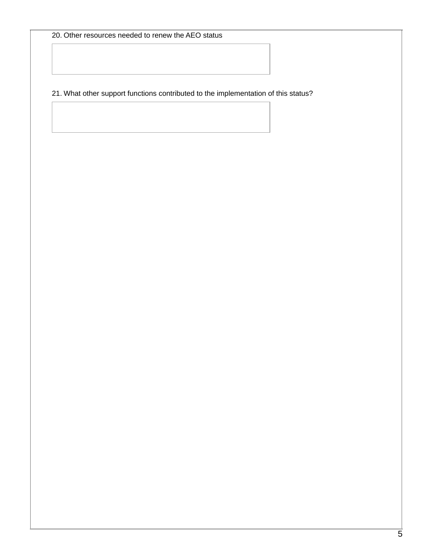## 21. What other support functions contributed to the implementation of this status?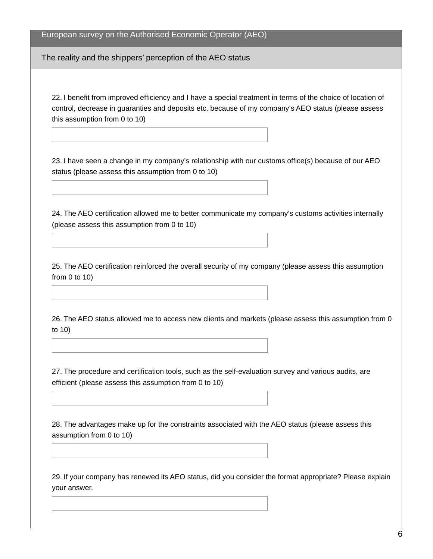## European survey on the Authorised Economic Operator (AEO)

The reality and the shippers' perception of the AEO status

22. I benefit from improved efficiency and I have a special treatment in terms of the choice of location of control, decrease in guaranties and deposits etc. because of my company's AEO status (please assess this assumption from 0 to 10)

23. I have seen a change in my company's relationship with our customs office(s) because of our AEO status (please assess this assumption from 0 to 10)

24. The AEO certification allowed me to better communicate my company's customs activities internally (please assess this assumption from 0 to 10)

25. The AEO certification reinforced the overall security of my company (please assess this assumption from 0 to 10)

26. The AEO status allowed me to access new clients and markets (please assess this assumption from 0 to 10)

27. The procedure and certification tools, such as the self-evaluation survey and various audits, are efficient (please assess this assumption from 0 to 10)

28. The advantages make up for the constraints associated with the AEO status (please assess this assumption from 0 to 10)

29. If your company has renewed its AEO status, did you consider the format appropriate? Please explain your answer.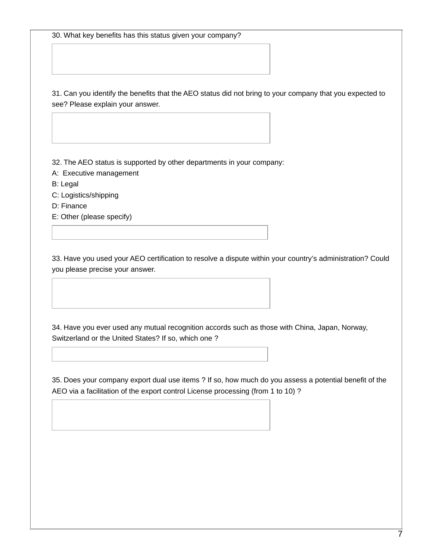30. What key benefits has this status given your company?

31. Can you identify the benefits that the AEO status did not bring to your company that you expected to see? Please explain your answer.

32. The AEO status is supported by other departments in your company:

- A: Executive management
- B: Legal
- C: Logistics/shipping
- D: Finance
- E: Other (please specify)

33. Have you used your AEO certification to resolve a dispute within your country's administration? Could you please precise your answer.

34. Have you ever used any mutual recognition accords such as those with China, Japan, Norway, Switzerland or the United States? If so, which one ?

35. Does your company export dual use items ? If so, how much do you assess a potential benefit of the AEO via a facilitation of the export control License processing (from 1 to 10) ?